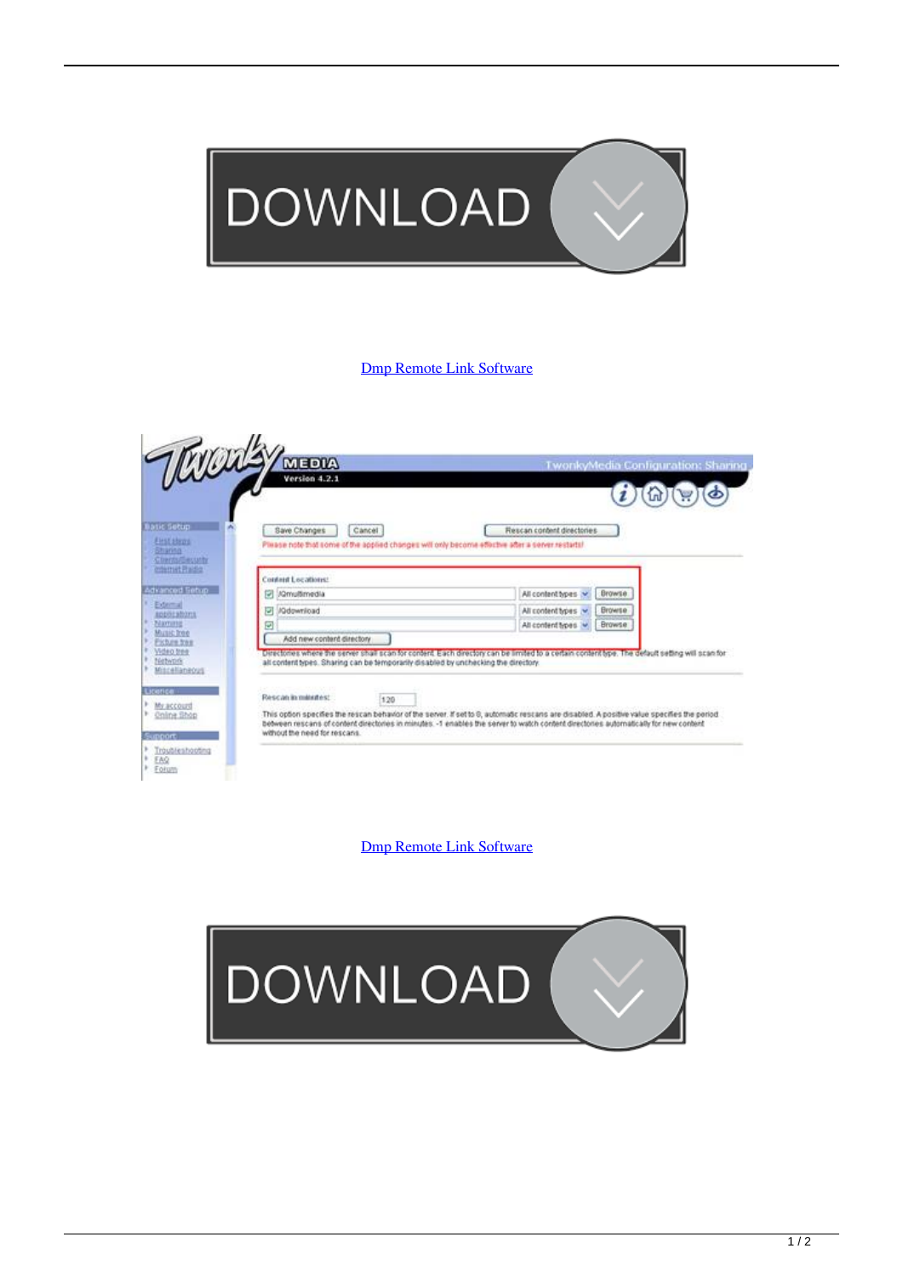

## [Dmp Remote Link Software](https://fancli.com/1q2lae)



[Dmp Remote Link Software](https://fancli.com/1q2lae)